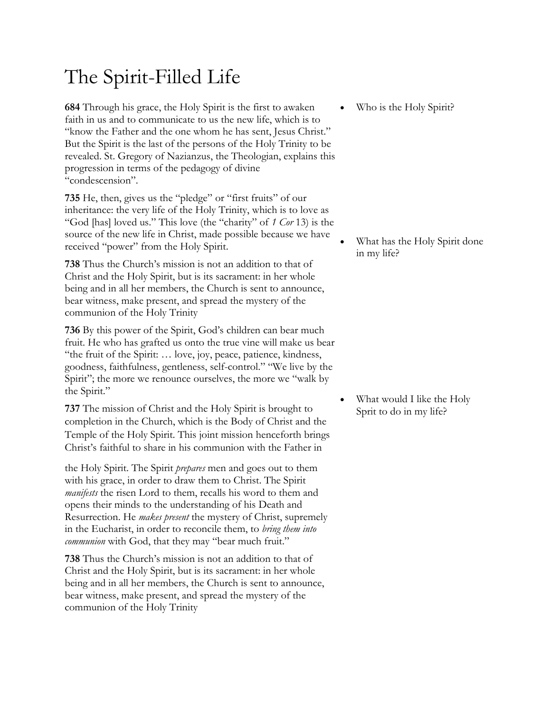## The Spirit-Filled Life

**684** Through his grace, the Holy Spirit is the first to awaken faith in us and to communicate to us the new life, which is to "know the Father and the one whom he has sent, Jesus Christ." But the Spirit is the last of the persons of the Holy Trinity to be revealed. St. Gregory of Nazianzus, the Theologian, explains this progression in terms of the pedagogy of divine "condescension".

**735** He, then, gives us the "pledge" or "first fruits" of our inheritance: the very life of the Holy Trinity, which is to love as "God [has] loved us." This love (the "charity" of *1 Cor* 13) is the source of the new life in Christ, made possible because we have received "power" from the Holy Spirit.

**738** Thus the Church's mission is not an addition to that of Christ and the Holy Spirit, but is its sacrament: in her whole being and in all her members, the Church is sent to announce, bear witness, make present, and spread the mystery of the communion of the Holy Trinity

**736** By this power of the Spirit, God's children can bear much fruit. He who has grafted us onto the true vine will make us bear "the fruit of the Spirit: … love, joy, peace, patience, kindness, goodness, faithfulness, gentleness, self-control." "We live by the Spirit"; the more we renounce ourselves, the more we "walk by the Spirit."

**737** The mission of Christ and the Holy Spirit is brought to completion in the Church, which is the Body of Christ and the Temple of the Holy Spirit. This joint mission henceforth brings Christ's faithful to share in his communion with the Father in

the Holy Spirit. The Spirit *prepares* men and goes out to them with his grace, in order to draw them to Christ. The Spirit *manifests* the risen Lord to them, recalls his word to them and opens their minds to the understanding of his Death and Resurrection. He *makes present* the mystery of Christ, supremely in the Eucharist, in order to reconcile them, to *bring them into communion* with God, that they may "bear much fruit."

**738** Thus the Church's mission is not an addition to that of Christ and the Holy Spirit, but is its sacrament: in her whole being and in all her members, the Church is sent to announce, bear witness, make present, and spread the mystery of the communion of the Holy Trinity

Who is the Holy Spirit?

What has the Holy Spirit done in my life?

What would I like the Holy Sprit to do in my life?